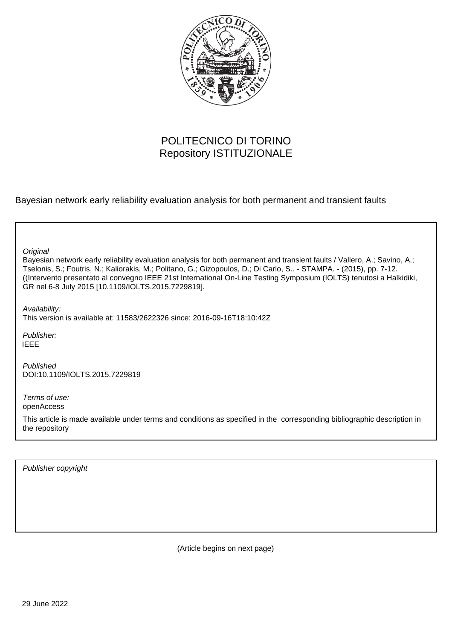

## POLITECNICO DI TORINO Repository ISTITUZIONALE

Bayesian network early reliability evaluation analysis for both permanent and transient faults

**Original** 

Bayesian network early reliability evaluation analysis for both permanent and transient faults / Vallero, A.; Savino, A.; Tselonis, S.; Foutris, N.; Kaliorakis, M.; Politano, G.; Gizopoulos, D.; Di Carlo, S.. - STAMPA. - (2015), pp. 7-12. ((Intervento presentato al convegno IEEE 21st International On-Line Testing Symposium (IOLTS) tenutosi a Halkidiki, GR nel 6-8 July 2015 [10.1109/IOLTS.2015.7229819].

Availability:

This version is available at: 11583/2622326 since: 2016-09-16T18:10:42Z

Publisher: IEEE

Published DOI:10.1109/IOLTS.2015.7229819

Terms of use: openAccess

This article is made available under terms and conditions as specified in the corresponding bibliographic description in the repository

Publisher copyright

(Article begins on next page)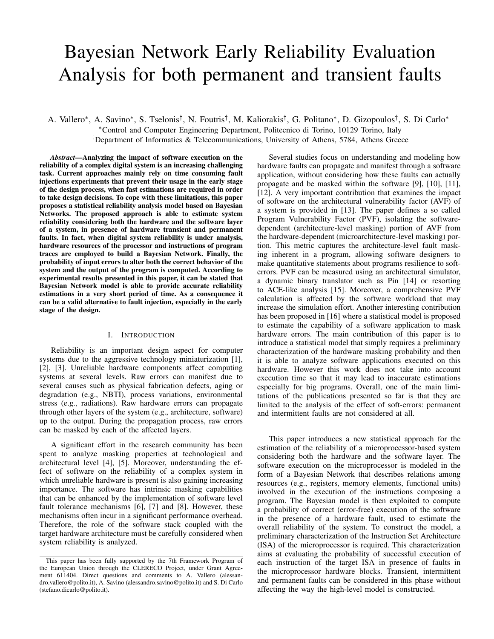# Bayesian Network Early Reliability Evaluation Analysis for both permanent and transient faults

A. Vallero\*, A. Savino\*, S. Tselonis<sup>†</sup>, N. Foutris<sup>†</sup>, M. Kaliorakis<sup>†</sup>, G. Politano\*, D. Gizopoulos<sup>†</sup>, S. Di Carlo\* <sup>∗</sup>Control and Computer Engineering Department, Politecnico di Torino, 10129 Torino, Italy

†Department of Informatics & Telecommunications, University of Athens, 5784, Athens Greece

*Abstract*—Analyzing the impact of software execution on the reliability of a complex digital system is an increasing challenging task. Current approaches mainly rely on time consuming fault injections experiments that prevent their usage in the early stage of the design process, when fast estimations are required in order to take design decisions. To cope with these limitations, this paper proposes a statistical reliability analysis model based on Bayesian Networks. The proposed approach is able to estimate system reliability considering both the hardware and the software layer of a system, in presence of hardware transient and permanent faults. In fact, when digital system reliability is under analysis, hardware resources of the processor and instructions of program traces are employed to build a Bayesian Network. Finally, the probability of input errors to alter both the correct behavior of the system and the output of the program is computed. According to experimental results presented in this paper, it can be stated that Bayesian Network model is able to provide accurate reliability estimations in a very short period of time. As a consequence it can be a valid alternative to fault injection, especially in the early stage of the design.

### I. INTRODUCTION

Reliability is an important design aspect for computer systems due to the aggressive technology miniaturization [1], [2], [3]. Unreliable hardware components affect computing systems at several levels. Raw errors can manifest due to several causes such as physical fabrication defects, aging or degradation (e.g., NBTI), process variations, environmental stress (e.g., radiations). Raw hardware errors can propagate through other layers of the system (e.g., architecture, software) up to the output. During the propagation process, raw errors can be masked by each of the affected layers.

A significant effort in the research community has been spent to analyze masking properties at technological and architectural level [4], [5]. Moreover, understanding the effect of software on the reliability of a complex system in which unreliable hardware is present is also gaining increasing importance. The software has intrinsic masking capabilities that can be enhanced by the implementation of software level fault tolerance mechanisms [6], [7] and [8]. However, these mechanisms often incur in a significant performance overhead. Therefore, the role of the software stack coupled with the target hardware architecture must be carefully considered when system reliability is analyzed.

Several studies focus on understanding and modeling how hardware faults can propagate and manifest through a software application, without considering how these faults can actually propagate and be masked within the software [9], [10], [11], [12]. A very important contribution that examines the impact of software on the architectural vulnerability factor (AVF) of a system is provided in [13]. The paper defines a so called Program Vulnerability Factor (PVF), isolating the softwaredependent (architecture-level masking) portion of AVF from the hardware-dependent (microarchitecture-level masking) portion. This metric captures the architecture-level fault masking inherent in a program, allowing software designers to make quantitative statements about programs resilience to softerrors. PVF can be measured using an architectural simulator, a dynamic binary translator such as Pin [14] or resorting to ACE-like analysis [15]. Moreover, a comprehensive PVF calculation is affected by the software workload that may increase the simulation effort. Another interesting contribution has been proposed in [16] where a statistical model is proposed to estimate the capability of a software application to mask hardware errors. The main contribution of this paper is to introduce a statistical model that simply requires a preliminary characterization of the hardware masking probability and then it is able to analyze software applications executed on this hardware. However this work does not take into account execution time so that it may lead to inaccurate estimations especially for big programs. Overall, one of the main limitations of the publications presented so far is that they are limited to the analysis of the effect of soft-errors: permanent and intermittent faults are not considered at all.

This paper introduces a new statistical approach for the estimation of the reliability of a microprocessor-based system considering both the hardware and the software layer. The software execution on the microprocessor is modeled in the form of a Bayesian Network that describes relations among resources (e.g., registers, memory elements, functional units) involved in the execution of the instructions composing a program. The Bayesian model is then exploited to compute a probability of correct (error-free) execution of the software in the presence of a hardware fault, used to estimate the overall reliability of the system. To construct the model, a preliminary characterization of the Instruction Set Architecture (ISA) of the microprocessor is required. This characterization aims at evaluating the probability of successful execution of each instruction of the target ISA in presence of faults in the microprocessor hardware blocks. Transient, intermittent and permanent faults can be considered in this phase without affecting the way the high-level model is constructed.

This paper has been fully supported by the 7th Framework Program of the European Union through the CLERECO Project, under Grant Agreement 611404. Direct questions and comments to A. Vallero (alessandro.vallero@polito.it), A. Savino (alessandro.savino@polito.it) and S. Di Carlo (stefano.dicarlo@polito.it).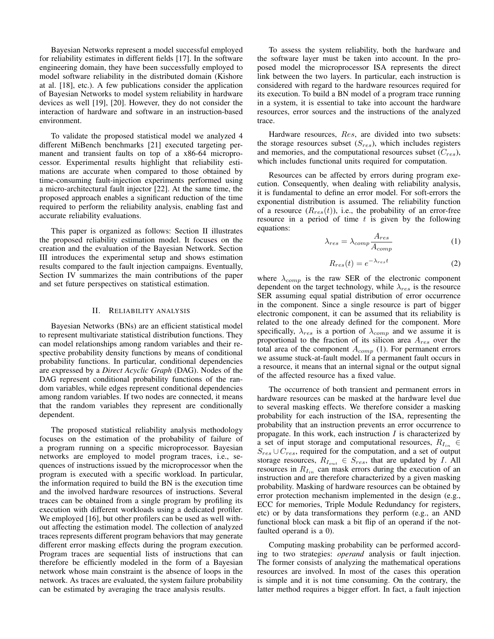Bayesian Networks represent a model successful employed for reliability estimates in different fields [17]. In the software engineering domain, they have been successfully employed to model software reliability in the distributed domain (Kishore at al. [18], etc.). A few publications consider the application of Bayesian Networks to model system reliability in hardware devices as well [19], [20]. However, they do not consider the interaction of hardware and software in an instruction-based environment.

To validate the proposed statistical model we analyzed 4 different MiBench benchmarks [21] executed targeting permanent and transient faults on top of a x86-64 microprocessor. Experimental results highlight that reliability estimations are accurate when compared to those obtained by time-consuming fault-injection experiments performed using a micro-architectural fault injector [22]. At the same time, the proposed approach enables a significant reduction of the time required to perform the reliability analysis, enabling fast and accurate reliability evaluations.

This paper is organized as follows: Section II illustrates the proposed reliability estimation model. It focuses on the creation and the evaluation of the Bayesian Network. Section III introduces the experimental setup and shows estimation results compared to the fault injection campaigns. Eventually, Section IV summarizes the main contributions of the paper and set future perspectives on statistical estimation.

#### II. RELIABILITY ANALYSIS

Bayesian Networks (BNs) are an efficient statistical model to represent multivariate statistical distribution functions. They can model relationships among random variables and their respective probability density functions by means of conditional probability functions. In particular, conditional dependencies are expressed by a *Direct Acyclic Graph* (DAG). Nodes of the DAG represent conditional probability functions of the random variables, while edges represent conditional dependencies among random variables. If two nodes are connected, it means that the random variables they represent are conditionally dependent.

The proposed statistical reliability analysis methodology focuses on the estimation of the probability of failure of a program running on a specific microprocessor. Bayesian networks are employed to model program traces, i.e., sequences of instructions issued by the microprocessor when the program is executed with a specific workload. In particular, the information required to build the BN is the execution time and the involved hardware resources of instructions. Several traces can be obtained from a single program by profiling its execution with different workloads using a dedicated profiler. We employed [16], but other profilers can be used as well without affecting the estimation model. The collection of analyzed traces represents different program behaviors that may generate different error masking effects during the program execution. Program traces are sequential lists of instructions that can therefore be efficiently modeled in the form of a Bayesian network whose main constraint is the absence of loops in the network. As traces are evaluated, the system failure probability can be estimated by averaging the trace analysis results.

To assess the system reliability, both the hardware and the software layer must be taken into account. In the proposed model the microprocessor ISA represents the direct link between the two layers. In particular, each instruction is considered with regard to the hardware resources required for its execution. To build a BN model of a program trace running in a system, it is essential to take into account the hardware resources, error sources and the instructions of the analyzed trace.

Hardware resources, Res, are divided into two subsets: the storage resources subset  $(S_{res})$ , which includes registers and memories, and the computational resources subset  $(C_{res})$ , which includes functional units required for computation.

Resources can be affected by errors during program execution. Consequently, when dealing with reliability analysis, it is fundamental to define an error model. For soft-errors the exponential distribution is assumed. The reliability function of a resource  $(R_{res}(t))$ , i.e., the probability of an error-free resource in a period of time  $t$  is given by the following equations:

$$
\lambda_{res} = \lambda_{comp} \frac{A_{res}}{A_{comp}}
$$
 (1)

$$
R_{res}(t) = e^{-\lambda_{res}t} \tag{2}
$$

where  $\lambda_{comp}$  is the raw SER of the electronic component dependent on the target technology, while  $\lambda_{res}$  is the resource SER assuming equal spatial distribution of error occurrence in the component. Since a single resource is part of bigger electronic component, it can be assumed that its reliability is related to the one already defined for the component. More specifically,  $\lambda_{res}$  is a portion of  $\lambda_{comp}$  and we assume it is proportional to the fraction of its silicon area  $A_{res}$  over the total area of the component  $A_{comp}$  (1). For permanent errors we assume stuck-at-fault model. If a permanent fault occurs in a resource, it means that an internal signal or the output signal of the affected resource has a fixed value.

The occurrence of both transient and permanent errors in hardware resources can be masked at the hardware level due to several masking effects. We therefore consider a masking probability for each instruction of the ISA, representing the probability that an instruction prevents an error occurrence to propagate. In this work, each instruction  $I$  is characterized by a set of input storage and computational resources,  $R_{I_{in}} \in$  $S_{res} \cup C_{res}$ , required for the computation, and a set of output storage resources,  $R_{I_{out}} \in S_{res}$ , that are updated by *I*. All resources in  $R_{I_{in}}$  can mask errors during the execution of an instruction and are therefore characterized by a given masking probability. Masking of hardware resources can be obtained by error protection mechanism implemented in the design (e.g., ECC for memories, Triple Module Redundancy for registers, etc) or by data transformations they perform (e.g., an AND functional block can mask a bit flip of an operand if the notfaulted operand is a 0).

Computing masking probability can be performed according to two strategies: *operand* analysis or fault injection. The former consists of analyzing the mathematical operations resources are involved. In most of the cases this operation is simple and it is not time consuming. On the contrary, the latter method requires a bigger effort. In fact, a fault injection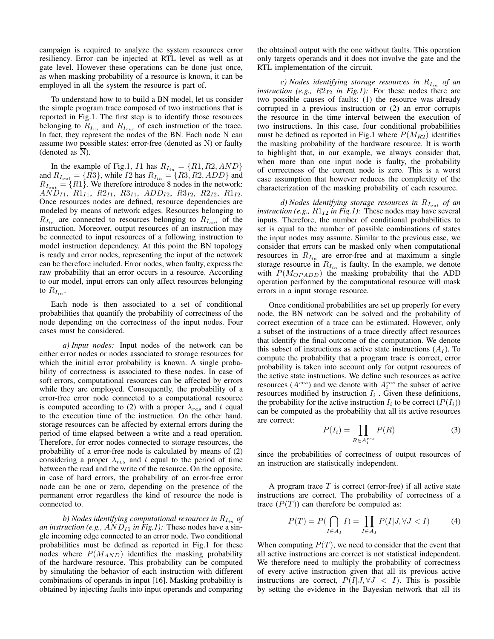campaign is required to analyze the system resources error resiliency. Error can be injected at RTL level as well as at gate level. However these operations can be done just once, as when masking probability of a resource is known, it can be employed in all the system the resource is part of.

To understand how to to build a BN model, let us consider the simple program trace composed of two instructions that is reported in Fig.1. The first step is to identify those resources belonging to  $R_{I_{in}}$  and  $R_{I_{out}}$  of each instruction of the trace. In fact, they represent the nodes of the BN. Each node N can assume two possible states: error-free (denoted as N) or faulty (denoted as N).

In the example of Fig.1, I1 has  $R_{I_{in}} = \{R1, R2, AND\}$ and  $R_{I_{out}} = \{R3\}$ , while *I*2 has  $R_{I_{in}} = \{R3, R2, ADD\}$  and  $R_{I_{out}} = \{R1\}$ . We therefore introduce 8 nodes in the network:  $AND_{I1}$ ,  $R1_{I1}$ ,  $R2_{I1}$ ,  $R3_{I1}$ ,  $ADD_{I2}$ ,  $R3_{I2}$ ,  $R2_{I2}$ ,  $R1_{I2}$ . Once resources nodes are defined, resource dependencies are modeled by means of network edges. Resources belonging to  $R_{I_{in}}$  are connected to resources belonging to  $R_{I_{out}}$  of the instruction. Moreover, output resources of an instruction may be connected to input resources of a following instruction to model instruction dependency. At this point the BN topology is ready and error nodes, representing the input of the network can be therefore included. Error nodes, when faulty, express the raw probability that an error occurs in a resource. According to our model, input errors can only affect resources belonging to  $R_{I_{in}}$ .

Each node is then associated to a set of conditional probabilities that quantify the probability of correctness of the node depending on the correctness of the input nodes. Four cases must be considered.

*a) Input nodes:* Input nodes of the network can be either error nodes or nodes associated to storage resources for which the initial error probability is known. A single probability of correctness is associated to these nodes. In case of soft errors, computational resources can be affected by errors while they are employed. Consequently, the probability of a error-free error node connected to a computational resource is computed according to (2) with a proper  $\lambda_{res}$  and t equal to the execution time of the instruction. On the other hand, storage resources can be affected by external errors during the period of time elapsed between a write and a read operation. Therefore, for error nodes connected to storage resources, the probability of a error-free node is calculated by means of (2) considering a proper  $\lambda_{res}$  and t equal to the period of time between the read and the write of the resource. On the opposite, in case of hard errors, the probability of an error-free error node can be one or zero, depending on the presence of the permanent error regardless the kind of resource the node is connected to.

*b*) Nodes identifying computational resources in  $R_{I_{in}}$  of *an instruction (e.g.,*  $AND_{I1}$  *in Fig.1):* These nodes have a single incoming edge connected to an error node. Two conditional probabilities must be defined as reported in Fig.1 for these nodes where  $P(M_{AND})$  identifies the masking probability of the hardware resource. This probability can be computed by simulating the behavior of each instruction with different combinations of operands in input [16]. Masking probability is obtained by injecting faults into input operands and comparing

the obtained output with the one without faults. This operation only targets operands and it does not involve the gate and the RTL implementation of the circuit.

*c*) Nodes identifying storage resources in  $R_{I_{in}}$  of an *instruction (e.g.,*  $R2_{I2}$  *in Fig.1):* For these nodes there are two possible causes of faults: (1) the resource was already corrupted in a previous instruction or (2) an error corrupts the resource in the time interval between the execution of two instructions. In this case, four conditional probabilities must be defined as reported in Fig.1 where  $P(M_{R2})$  identifies the masking probability of the hardware resource. It is worth to highlight that, in our example, we always consider that, when more than one input node is faulty, the probability of correctness of the current node is zero. This is a worst case assumption that however reduces the complexity of the characterization of the masking probability of each resource.

*d) Nodes identifying storage resources in*  $R_{I_{out}}$  *of an instruction (e.g.,*  $R1_{I2}$  *in Fig.1):* These nodes may have several inputs. Therefore, the number of conditional probabilities to set is equal to the number of possible combinations of states the input nodes may assume. Similar to the previous case, we consider that errors can be masked only when computational resources in  $R_{I_{in}}$  are error-free and at maximum a single storage resource in  $R_{I_{in}}$  is faulty. In the example, we denote with  $P(M_{OPADD})$  the masking probability that the ADD operation performed by the computational resource will mask errors in a input storage resource.

Once conditional probabilities are set up properly for every node, the BN network can be solved and the probability of correct execution of a trace can be estimated. However, only a subset of the instructions of a trace directly affect resources that identify the final outcome of the computation. We denote this subset of instructions as active state instructions  $(A_I)$ . To compute the probability that a program trace is correct, error probability is taken into account only for output resources of the active state instructions. We define such resources as active resources ( $A^{res}$ ) and we denote with  $A_i^{res}$  the subset of active resources modified by instruction  $I_i$ . Given these definitions, the probability for the active instruction  $I_i$  to be correct  $(P(I_i))$ can be computed as the probability that all its active resources are correct:

$$
P(I_i) = \prod_{R \in A_i^{res}} P(R)
$$
 (3)

since the probabilities of correctness of output resources of an instruction are statistically independent.

A program trace  $T$  is correct (error-free) if all active state instructions are correct. The probability of correctness of a trace  $(P(T))$  can therefore be computed as:

$$
P(T) = P\left(\bigcap_{I \in A_I} I\right) = \prod_{I \in A_I} P(I|J, \forall J < I) \tag{4}
$$

When computing  $P(T)$ , we need to consider that the event that all active instructions are correct is not statistical independent. We therefore need to multiply the probability of correctness of every active instruction given that all its previous active instructions are correct,  $P(I|J, \forall J < I)$ . This is possible by setting the evidence in the Bayesian network that all its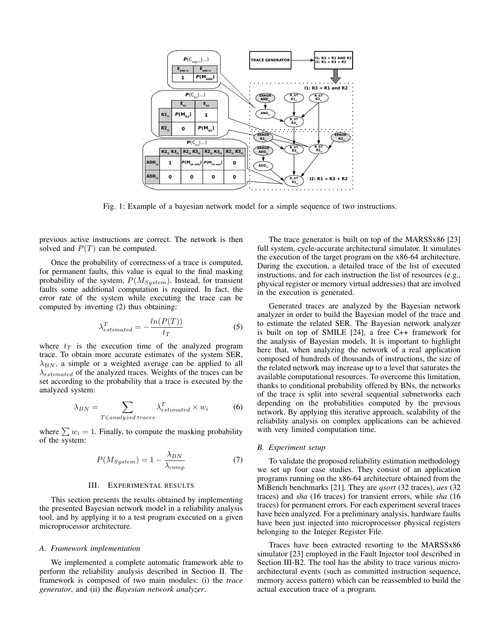

Fig. 1: Example of a bayesian network model for a simple sequence of two instructions.

previous active instructions are correct. The network is then solved and  $P(T)$  can be computed.

Once the probability of correctness of a trace is computed, for permanent faults, this value is equal to the final masking probability of the system,  $P(M_{System})$ . Instead, for transient faults some additional computation is required. In fact, the error rate of the system while executing the trace can be computed by inverting (2) thus obtaining:

$$
\lambda_{estimated}^T = -\frac{ln(P(T))}{t_T} \tag{5}
$$

where  $t_T$  is the execution time of the analyzed program trace. To obtain more accurate estimates of the system SER,  $\lambda_{BN}$ , a simple or a weighted average can be applied to all  $\lambda_{estimated}$  of the analyzed traces. Weights of the traces can be set according to the probability that a trace is executed by the analyzed system:

$$
\lambda_{BN} = \sum_{T \in analyzed\ traces} \lambda_{estimated}^T \times w_i \tag{6}
$$

where  $\sum w_i = 1$ . Finally, to compute the masking probability of the system:

$$
P(M_{System}) = 1 - \frac{\lambda_{BN}}{\lambda_{comp}} \tag{7}
$$

#### III. EXPERIMENTAL RESULTS

This section presents the results obtained by implementing the presented Bayesian network model in a reliability analysis tool, and by applying it to a test program executed on a given microprocessor architecture.

#### *A. Framework implementation*

We implemented a complete automatic framework able to perform the reliability analysis described in Section II. The framework is composed of two main modules: (i) the *trace generator*, and (ii) the *Bayesian network analyzer*.

The trace generator is built on top of the MARSSx86 [23] full system, cycle-accurate architectural simulator. It simulates the execution of the target program on the x86-64 architecture. During the execution, a detailed trace of the list of executed instructions, and for each instruction the list of resources (e.g., physical register or memory virtual addresses) that are involved in the execution is generated.

Generated traces are analyzed by the Bayesian network analyzer in order to build the Bayesian model of the trace and to estimate the related SER. The Bayesian network analyzer is built on top of SMILE [24], a free C++ framework for the analysis of Bayesian models. It is important to highlight here that, when analyzing the network of a real application composed of hundreds of thousands of instructions, the size of the related network may increase up to a level that saturates the available computational resources. To overcome this limitation, thanks to conditional probability offered by BNs, the networks of the trace is split into several sequential subnetworks each depending on the probabilities computed by the previous network. By applying this iterative approach, scalability of the reliability analysis on complex applications can be achieved with very limited computation time.

#### *B. Experiment setup*

To validate the proposed reliability estimation methodology we set up four case studies. They consist of an application programs running on the x86-64 architecture obtained from the MiBench benchmarks [21]. They are *qsort* (32 traces), *aes* (32 traces) and *sha* (16 traces) for transient errors, while *sha* (16 traces) for permanent errors. For each experiment several traces have been analyzed. For a preliminary analysis, hardware faults have been just injected into microprocessor physical registers belonging to the Integer Register File.

Traces have been extracted resorting to the MARSSx86 simulator [23] employed in the Fault Injector tool described in Section III-B2. The tool has the ability to trace various microarchitectural events (such as committed instruction sequence, memory access pattern) which can be reassembled to build the actual execution trace of a program.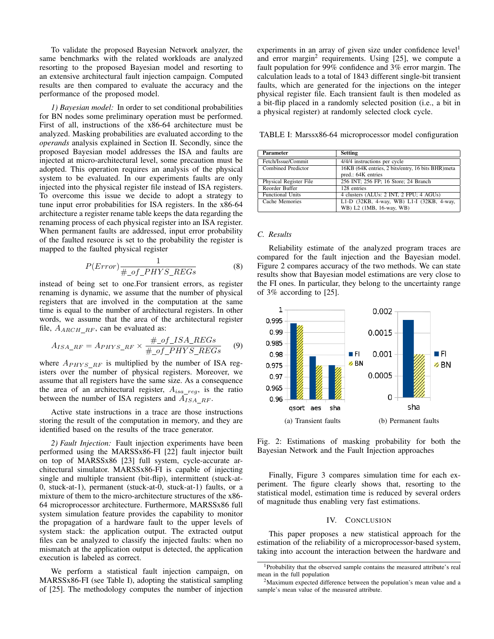To validate the proposed Bayesian Network analyzer, the same benchmarks with the related workloads are analyzed resorting to the proposed Bayesian model and resorting to an extensive architectural fault injection campaign. Computed results are then compared to evaluate the accuracy and the performance of the proposed model.

*1) Bayesian model:* In order to set conditional probabilities for BN nodes some preliminary operation must be performed. First of all, instructions of the x86-64 architecture must be analyzed. Masking probabilities are evaluated according to the *operands* analysis explained in Section II. Secondly, since the proposed Bayesian model addresses the ISA and faults are injected at micro-architectural level, some precaution must be adopted. This operation requires an analysis of the physical system to be evaluated. In our experiments faults are only injected into the physical register file instead of ISA registers. To overcome this issue we decide to adopt a strategy to tune input error probabilities for ISA registers. In the x86-64 architecture a register rename table keeps the data regarding the renaming process of each physical register into an ISA register. When permanent faults are addressed, input error probability of the faulted resource is set to the probability the register is mapped to the faulted physical register

$$
P(Error) \frac{1}{\#\_of\_PHYS\_REGs}
$$
 (8)

instead of being set to one.For transient errors, as register renaming is dynamic, we assume that the number of physical registers that are involved in the computation at the same time is equal to the number of architectural registers. In other words, we assume that the area of the architectural register file,  $A_{ARCH\_RF}$ , can be evaluated as:

$$
A_{ISA\_RF} = A_{PHYS\_RF} \times \frac{\#_{of\_ISA\_REGs}}{\#_{of\_PHYS\_REGs}} \tag{9}
$$

where  $A_{PHYS}$   $_{RF}$  is multiplied by the number of ISA registers over the number of physical registers. Moreover, we assume that all registers have the same size. As a consequence the area of an architectural register,  $A_{isa\_reg}$ , is the ratio between the number of ISA registers and  $A_{ISA\_RF}$ .

Active state instructions in a trace are those instructions storing the result of the computation in memory, and they are identified based on the results of the trace generator.

*2) Fault Injection:* Fault injection experiments have been performed using the MARSSx86-FI [22] fault injector built on top of MARSSx86 [23] full system, cycle-accurate architectural simulator. MARSSx86-FI is capable of injecting single and multiple transient (bit-flip), intermittent (stuck-at-0, stuck-at-1), permanent (stuck-at-0, stuck-at-1) faults, or a mixture of them to the micro-architecture structures of the x86- 64 microprocessor architecture. Furthermore, MARSSx86 full system simulation feature provides the capability to monitor the propagation of a hardware fault to the upper levels of system stack: the application output. The extracted output files can be analyzed to classify the injected faults: when no mismatch at the application output is detected, the application execution is labeled as correct.

We perform a statistical fault injection campaign, on MARSSx86-FI (see Table I), adopting the statistical sampling of [25]. The methodology computes the number of injection experiments in an array of given size under confidence level<sup>1</sup> and error margin<sup>2</sup> requirements. Using  $[25]$ , we compute a fault population for 99% confidence and 3% error margin. The calculation leads to a total of 1843 different single-bit transient faults, which are generated for the injections on the integer physical register file. Each transient fault is then modeled as a bit-flip placed in a randomly selected position (i.e., a bit in a physical register) at randomly selected clock cycle.

TABLE I: Marssx86-64 microprocessor model configuration

| <b>Parameter</b>        | <b>Setting</b>                                    |
|-------------------------|---------------------------------------------------|
| Fetch/Issue/Commit      | 4/4/4 instructions per cycle                      |
| Combined Predictor      | 16KB (64K entries, 2 bits/entry, 16 bits BHR)meta |
|                         | pred.: 64K entries                                |
| Physical Register File  | 256 INT; 256 FP; 16 Store; 24 Branch              |
| Reorder Buffer          | 128 entries                                       |
| <b>Functional Units</b> | 4 clusters (ALUs: 2 INT, 2 FPU; 4 AGUs)           |
| Cache Memories          | L1-D (32KB, 4-way, WB) L1-I (32KB, 4-way,         |
|                         | WB) L2 (1MB, 16-way, WB)                          |

#### *C. Results*

Reliability estimate of the analyzed program traces are compared for the fault injection and the Bayesian model. Figure 2 compares accuracy of the two methods. We can state results show that Bayesian model estimations are very close to the FI ones. In particular, they belong to the uncertainty range of 3% according to [25].



Fig. 2: Estimations of masking probability for both the Bayesian Network and the Fault Injection approaches

Finally, Figure 3 compares simulation time for each experiment. The figure clearly shows that, resorting to the statistical model, estimation time is reduced by several orders of magnitude thus enabling very fast estimations.

#### IV. CONCLUSION

This paper proposes a new statistical approach for the estimation of the reliability of a microprocessor-based system, taking into account the interaction between the hardware and

<sup>1</sup>Probability that the observed sample contains the measured attribute's real mean in the full population

<sup>2</sup>Maximum expected difference between the population's mean value and a sample's mean value of the measured attribute.